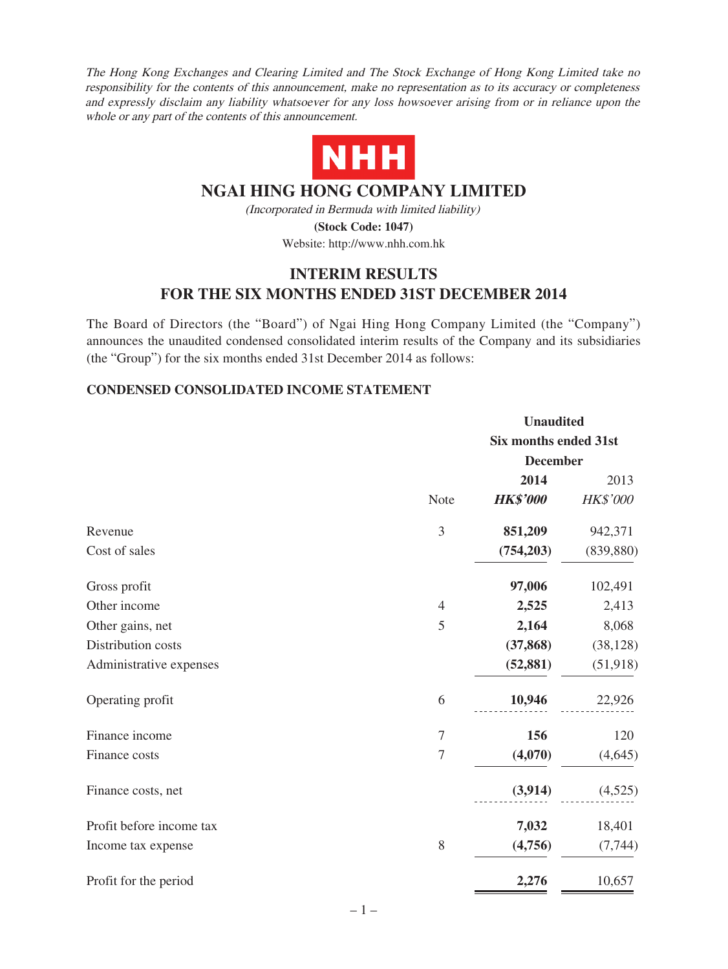The Hong Kong Exchanges and Clearing Limited and The Stock Exchange of Hong Kong Limited take no responsibility for the contents of this announcement, make no representation as to its accuracy or completeness and expressly disclaim any liability whatsoever for any loss howsoever arising from or in reliance upon the whole or any part of the contents of this announcement.



# **NGAI HING HONG COMPANY LIMITED**

(Incorporated in Bermuda with limited liability) **(Stock Code: 1047)**

Website: http://www.nhh.com.hk

# **INTERIM RESULTS FOR THE SIX MONTHS ENDED 31ST DECEMBER 2014**

The Board of Directors (the "Board") of Ngai Hing Hong Company Limited (the "Company") announces the unaudited condensed consolidated interim results of the Company and its subsidiaries (the "Group") for the six months ended 31st December 2014 as follows:

### **CONDENSED CONSOLIDATED INCOME STATEMENT**

|                          |                |                              | <b>Unaudited</b> |  |  |
|--------------------------|----------------|------------------------------|------------------|--|--|
|                          |                | <b>Six months ended 31st</b> |                  |  |  |
|                          |                | <b>December</b>              |                  |  |  |
|                          |                | 2014                         | 2013             |  |  |
|                          | Note           | <b>HK\$'000</b>              | HK\$'000         |  |  |
| Revenue                  | 3              | 851,209                      | 942,371          |  |  |
| Cost of sales            |                | (754, 203)                   | (839, 880)       |  |  |
| Gross profit             |                | 97,006                       | 102,491          |  |  |
| Other income             | $\overline{4}$ | 2,525                        | 2,413            |  |  |
| Other gains, net         | 5              | 2,164                        | 8,068            |  |  |
| Distribution costs       |                | (37, 868)                    | (38, 128)        |  |  |
| Administrative expenses  |                | (52, 881)                    | (51, 918)        |  |  |
| Operating profit         | 6              | 10,946                       | 22,926           |  |  |
| Finance income           | $\tau$         | 156                          | 120              |  |  |
| Finance costs            | $\tau$         | (4,070)                      | (4,645)          |  |  |
| Finance costs, net       |                | (3,914)                      | (4,525)          |  |  |
| Profit before income tax |                | 7,032                        | 18,401           |  |  |
| Income tax expense       | $8\,$          | (4,756)                      | (7, 744)         |  |  |
| Profit for the period    |                | 2,276                        | 10,657           |  |  |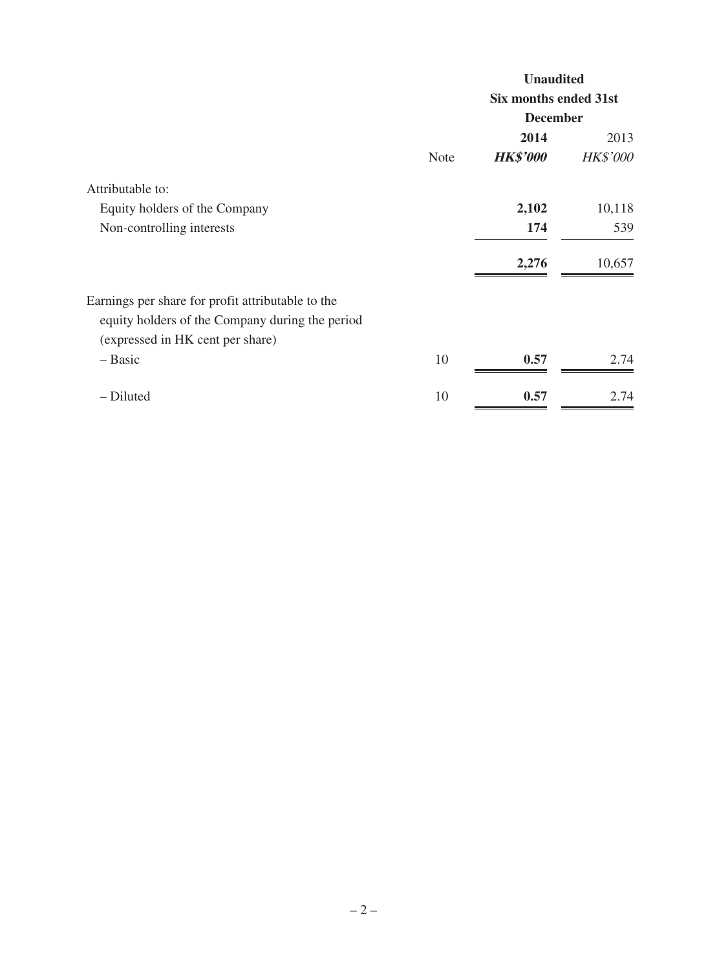|                                                   |             | <b>Unaudited</b>      |                 |  |
|---------------------------------------------------|-------------|-----------------------|-----------------|--|
|                                                   |             | Six months ended 31st |                 |  |
|                                                   |             | <b>December</b>       |                 |  |
|                                                   |             | 2014                  | 2013            |  |
|                                                   | <b>Note</b> | <b>HK\$'000</b>       | <b>HK\$'000</b> |  |
| Attributable to:                                  |             |                       |                 |  |
| Equity holders of the Company                     |             | 2,102                 | 10,118          |  |
| Non-controlling interests                         |             | 174                   | 539             |  |
|                                                   |             | 2,276                 | 10,657          |  |
| Earnings per share for profit attributable to the |             |                       |                 |  |
| equity holders of the Company during the period   |             |                       |                 |  |
| (expressed in HK cent per share)                  |             |                       |                 |  |
| - Basic                                           | 10          | 0.57                  | 2.74            |  |
| - Diluted                                         | 10          | 0.57                  | 2.74            |  |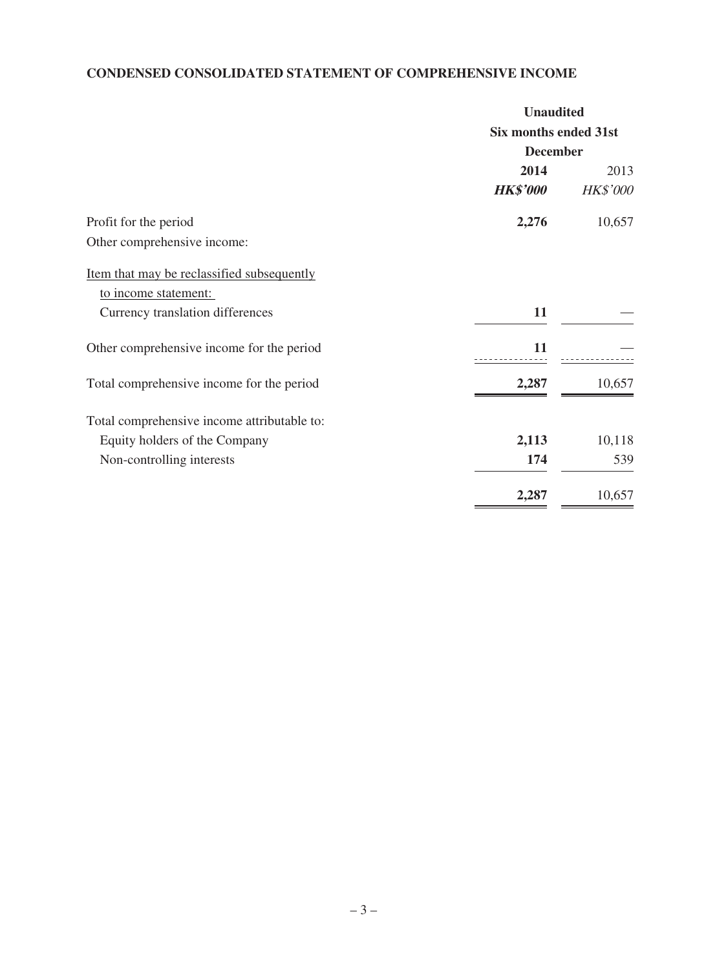# **CONDENSED CONSOLIDATED STATEMENT OF COMPREHENSIVE INCOME**

| <b>Unaudited</b>      |                 |  |
|-----------------------|-----------------|--|
| Six months ended 31st |                 |  |
| <b>December</b>       |                 |  |
| 2014                  | 2013            |  |
| <b>HK\$'000</b>       | <b>HK\$'000</b> |  |
| 2,276                 | 10,657          |  |
|                       |                 |  |
|                       |                 |  |
|                       |                 |  |
| 11                    |                 |  |
| 11                    |                 |  |
| 2,287                 | 10,657          |  |
|                       |                 |  |
| 2,113                 | 10,118          |  |
| 174                   | 539             |  |
| 2,287                 | 10,657          |  |
|                       |                 |  |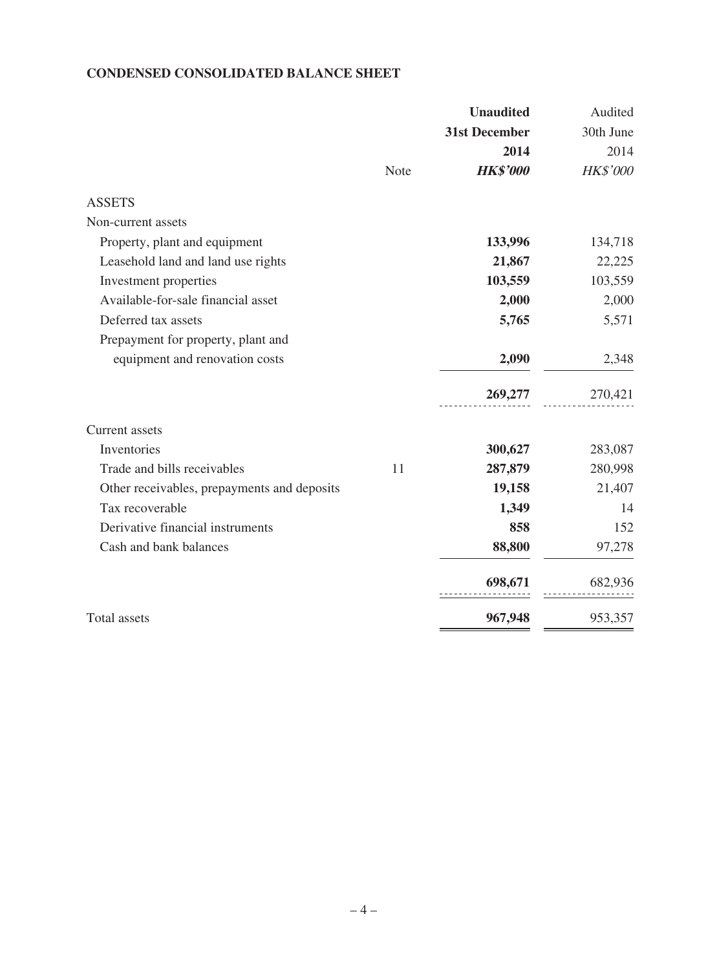### **CONDENSED CONSOLIDATED BALANCE SHEET**

|                                             |      | <b>Unaudited</b>     | Audited   |
|---------------------------------------------|------|----------------------|-----------|
|                                             |      | <b>31st December</b> | 30th June |
|                                             |      | 2014                 | 2014      |
|                                             | Note | <b>HK\$'000</b>      | HK\$'000  |
| <b>ASSETS</b>                               |      |                      |           |
| Non-current assets                          |      |                      |           |
| Property, plant and equipment               |      | 133,996              | 134,718   |
| Leasehold land and land use rights          |      | 21,867               | 22,225    |
| Investment properties                       |      | 103,559              | 103,559   |
| Available-for-sale financial asset          |      | 2,000                | 2,000     |
| Deferred tax assets                         |      | 5,765                | 5,571     |
| Prepayment for property, plant and          |      |                      |           |
| equipment and renovation costs              |      | 2,090                | 2,348     |
|                                             |      | 269,277              | 270,421   |
| <b>Current</b> assets                       |      |                      |           |
| Inventories                                 |      | 300,627              | 283,087   |
| Trade and bills receivables                 | 11   | 287,879              | 280,998   |
| Other receivables, prepayments and deposits |      | 19,158               | 21,407    |
| Tax recoverable                             |      | 1,349                | 14        |
| Derivative financial instruments            |      | 858                  | 152       |
| Cash and bank balances                      |      | 88,800               | 97,278    |
|                                             |      | 698,671              | 682,936   |
| Total assets                                |      | 967,948              | 953,357   |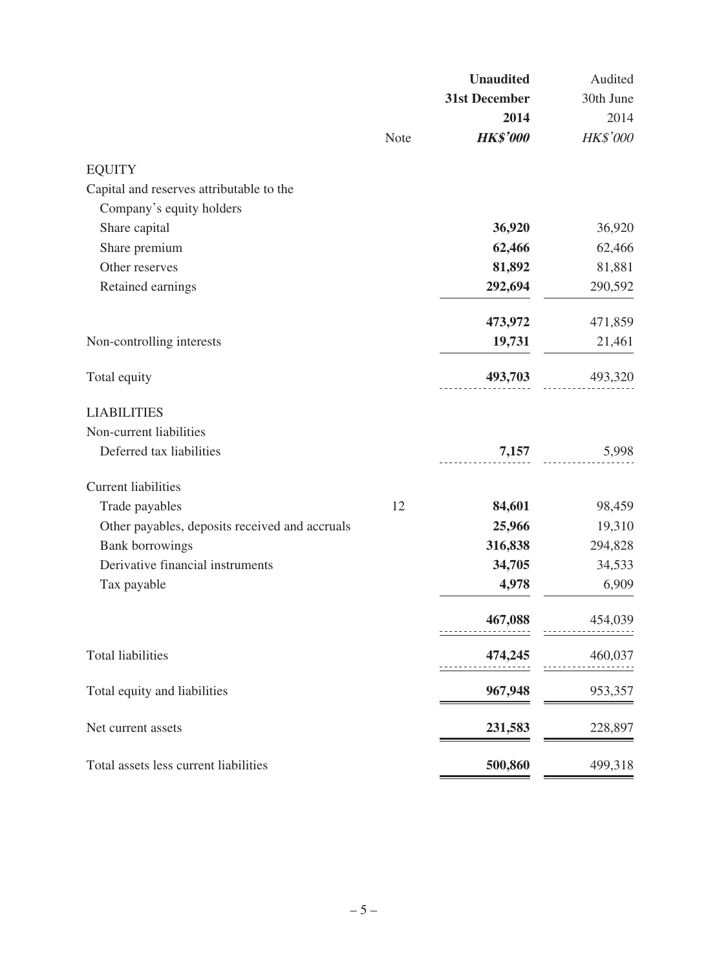|      | <b>Unaudited</b> | Audited   |
|------|------------------|-----------|
|      | 31st December    | 30th June |
|      | 2014             | 2014      |
| Note | <b>HK\$'000</b>  | HK\$'000  |
|      |                  |           |
|      |                  |           |
|      |                  |           |
|      | 36,920           | 36,920    |
|      | 62,466           | 62,466    |
|      | 81,892           | 81,881    |
|      | 292,694          | 290,592   |
|      | 473,972          | 471,859   |
|      | 19,731           | 21,461    |
|      | 493,703          | 493,320   |
|      |                  |           |
|      |                  |           |
|      | 7,157            | 5,998     |
|      |                  |           |
| 12   | 84,601           | 98,459    |
|      | 25,966           | 19,310    |
|      | 316,838          | 294,828   |
|      | 34,705           | 34,533    |
|      | 4,978            | 6,909     |
|      | 467,088          | 454,039   |
|      | 474,245          | 460,037   |
|      | 967,948          | 953,357   |
|      | 231,583          | 228,897   |
|      |                  | 499,318   |
|      |                  | 500,860   |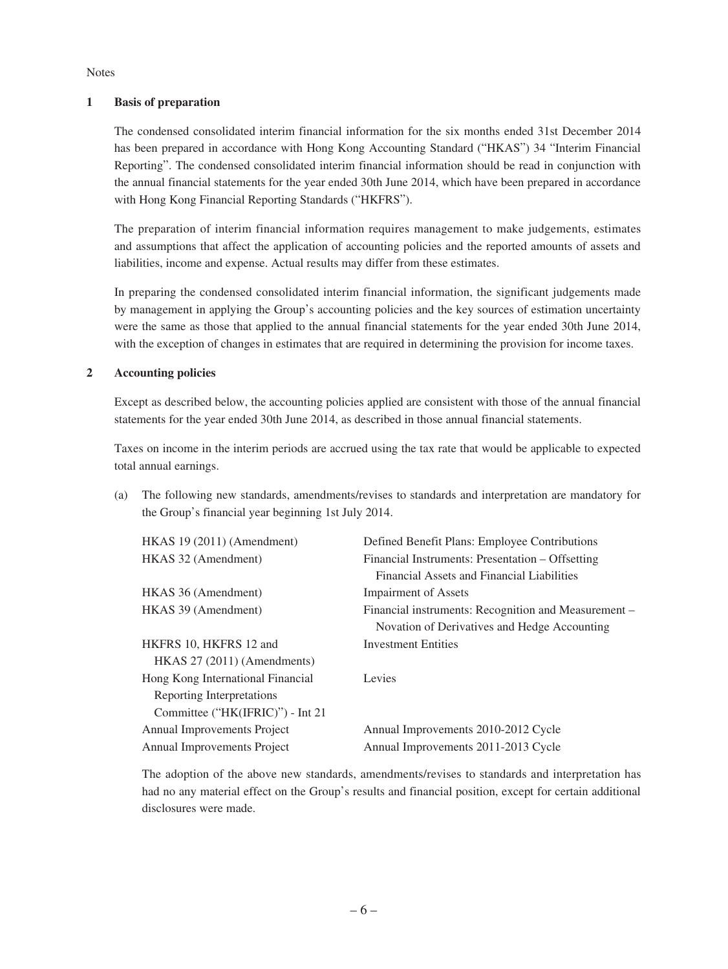Notes

#### **1 Basis of preparation**

The condensed consolidated interim financial information for the six months ended 31st December 2014 has been prepared in accordance with Hong Kong Accounting Standard ("HKAS") 34 "Interim Financial Reporting". The condensed consolidated interim financial information should be read in conjunction with the annual financial statements for the year ended 30th June 2014, which have been prepared in accordance with Hong Kong Financial Reporting Standards ("HKFRS").

The preparation of interim financial information requires management to make judgements, estimates and assumptions that affect the application of accounting policies and the reported amounts of assets and liabilities, income and expense. Actual results may differ from these estimates.

In preparing the condensed consolidated interim financial information, the significant judgements made by management in applying the Group's accounting policies and the key sources of estimation uncertainty were the same as those that applied to the annual financial statements for the year ended 30th June 2014, with the exception of changes in estimates that are required in determining the provision for income taxes.

#### **2 Accounting policies**

Except as described below, the accounting policies applied are consistent with those of the annual financial statements for the year ended 30th June 2014, as described in those annual financial statements.

Taxes on income in the interim periods are accrued using the tax rate that would be applicable to expected total annual earnings.

(a) The following new standards, amendments/revises to standards and interpretation are mandatory for the Group's financial year beginning 1st July 2014.

| $HKAS$ 19 (2011) (Amendment)       | Defined Benefit Plans: Employee Contributions        |
|------------------------------------|------------------------------------------------------|
| HKAS 32 (Amendment)                | Financial Instruments: Presentation – Offsetting     |
|                                    | Financial Assets and Financial Liabilities           |
| HKAS 36 (Amendment)                | <b>Impairment of Assets</b>                          |
| HKAS 39 (Amendment)                | Financial instruments: Recognition and Measurement – |
|                                    | Novation of Derivatives and Hedge Accounting         |
| HKFRS 10, HKFRS 12 and             | <b>Investment Entities</b>                           |
| $HKAS$ 27 (2011) (Amendments)      |                                                      |
| Hong Kong International Financial  | Levies                                               |
| Reporting Interpretations          |                                                      |
| Committee ("HK(IFRIC)") - Int 21   |                                                      |
| Annual Improvements Project        | Annual Improvements 2010-2012 Cycle                  |
| <b>Annual Improvements Project</b> | Annual Improvements 2011-2013 Cycle                  |

The adoption of the above new standards, amendments/revises to standards and interpretation has had no any material effect on the Group's results and financial position, except for certain additional disclosures were made.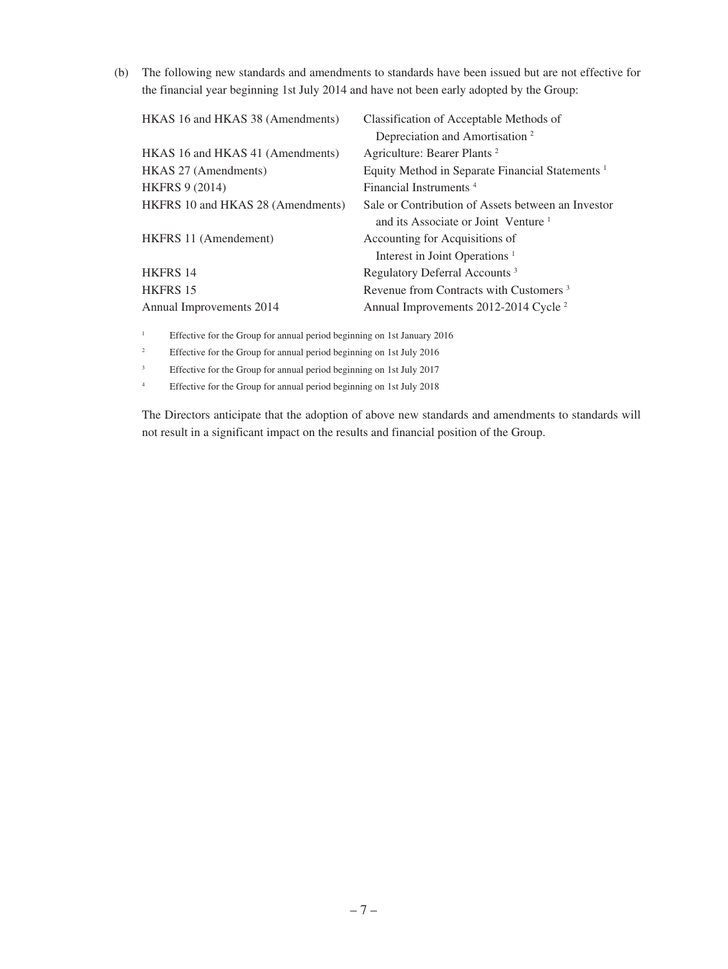(b) The following new standards and amendments to standards have been issued but are not effective for the financial year beginning 1st July 2014 and have not been early adopted by the Group:

| HKAS 16 and HKAS 38 (Amendments)  | Classification of Acceptable Methods of                     |
|-----------------------------------|-------------------------------------------------------------|
|                                   | Depreciation and Amortisation <sup>2</sup>                  |
| HKAS 16 and HKAS 41 (Amendments)  | Agriculture: Bearer Plants <sup>2</sup>                     |
| HKAS 27 (Amendments)              | Equity Method in Separate Financial Statements <sup>1</sup> |
| <b>HKFRS 9 (2014)</b>             | Financial Instruments <sup>4</sup>                          |
| HKFRS 10 and HKAS 28 (Amendments) | Sale or Contribution of Assets between an Investor          |
|                                   | and its Associate or Joint Venture <sup>1</sup>             |
| HKFRS 11 (Amendement)             | Accounting for Acquisitions of                              |
|                                   | Interest in Joint Operations <sup>1</sup>                   |
| <b>HKFRS 14</b>                   | Regulatory Deferral Accounts <sup>3</sup>                   |
| <b>HKFRS 15</b>                   | Revenue from Contracts with Customers <sup>3</sup>          |
| Annual Improvements 2014          | Annual Improvements 2012-2014 Cycle <sup>2</sup>            |
|                                   |                                                             |

<sup>1</sup> Effective for the Group for annual period beginning on 1st January 2016

<sup>2</sup> Effective for the Group for annual period beginning on 1st July 2016

<sup>3</sup> Effective for the Group for annual period beginning on 1st July 2017

<sup>4</sup> Effective for the Group for annual period beginning on 1st July 2018

The Directors anticipate that the adoption of above new standards and amendments to standards will not result in a significant impact on the results and financial position of the Group.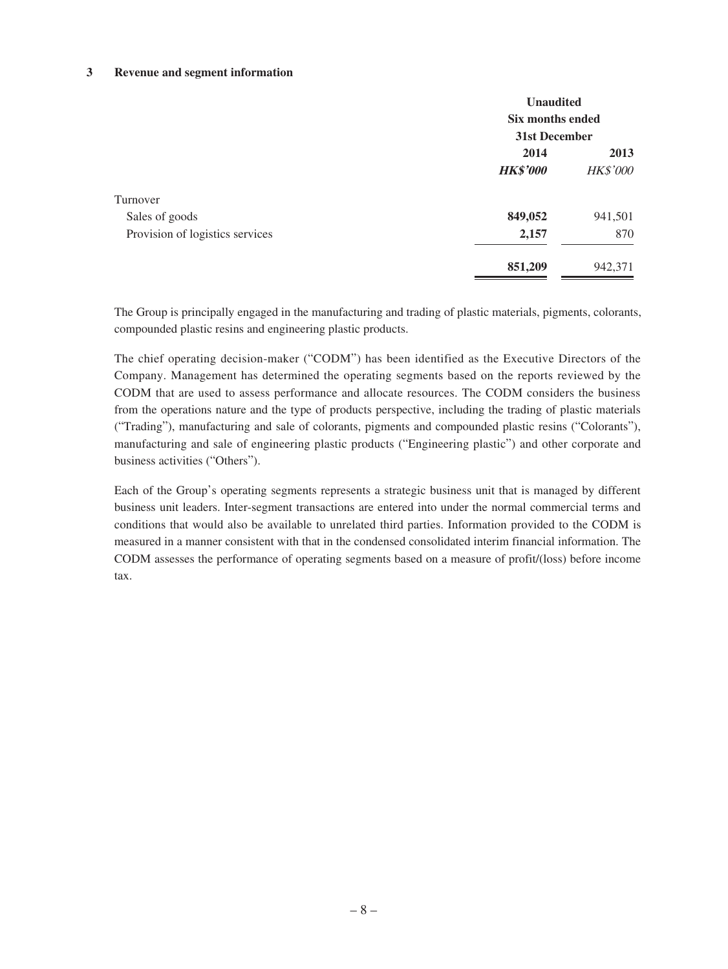#### **3 Revenue and segment information**

|                                 | <b>Unaudited</b><br>Six months ended       |         |  |
|---------------------------------|--------------------------------------------|---------|--|
|                                 | 31st December<br>2013                      |         |  |
|                                 | 2014<br><b>HK\$'000</b><br><b>HK\$'000</b> |         |  |
| Turnover                        |                                            |         |  |
| Sales of goods                  | 849,052                                    | 941,501 |  |
| Provision of logistics services | 2,157                                      | 870     |  |
|                                 | 851,209                                    | 942,371 |  |

The Group is principally engaged in the manufacturing and trading of plastic materials, pigments, colorants, compounded plastic resins and engineering plastic products.

The chief operating decision-maker ("CODM") has been identified as the Executive Directors of the Company. Management has determined the operating segments based on the reports reviewed by the CODM that are used to assess performance and allocate resources. The CODM considers the business from the operations nature and the type of products perspective, including the trading of plastic materials ("Trading"), manufacturing and sale of colorants, pigments and compounded plastic resins ("Colorants"), manufacturing and sale of engineering plastic products ("Engineering plastic") and other corporate and business activities ("Others").

Each of the Group's operating segments represents a strategic business unit that is managed by different business unit leaders. Inter-segment transactions are entered into under the normal commercial terms and conditions that would also be available to unrelated third parties. Information provided to the CODM is measured in a manner consistent with that in the condensed consolidated interim financial information. The CODM assesses the performance of operating segments based on a measure of profit/(loss) before income tax.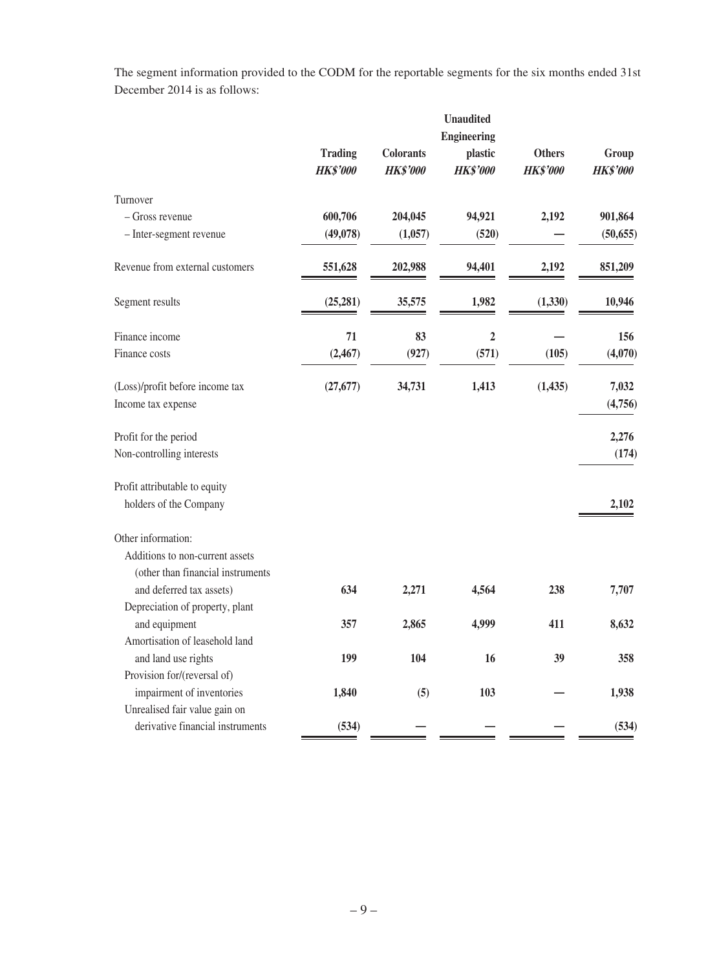The segment information provided to the CODM for the reportable segments for the six months ended 31st December 2014 is as follows:

|                                    |                                   |                                     | <b>Unaudited</b>           |                                  |                          |
|------------------------------------|-----------------------------------|-------------------------------------|----------------------------|----------------------------------|--------------------------|
|                                    | <b>Engineering</b>                |                                     |                            |                                  |                          |
|                                    | <b>Trading</b><br><b>HK\$'000</b> | <b>Colorants</b><br><b>HK\$'000</b> | plastic<br><b>HK\$'000</b> | <b>Others</b><br><b>HK\$'000</b> | Group<br><b>HK\$'000</b> |
| Turnover                           |                                   |                                     |                            |                                  |                          |
| - Gross revenue                    | 600,706                           | 204,045                             | 94,921                     | 2,192                            | 901,864                  |
| - Inter-segment revenue            | (49,078)                          | (1,057)                             | (520)                      |                                  | (50, 655)                |
| Revenue from external customers    | 551,628                           | 202,988                             | 94,401                     | 2,192                            | 851,209                  |
| Segment results                    | (25, 281)                         | 35,575                              | 1,982                      | (1, 330)                         | 10,946                   |
| Finance income                     | 71                                | 83                                  | $\overline{2}$             |                                  | 156                      |
| Finance costs                      | (2, 467)                          | (927)                               | (571)                      | (105)                            | (4,070)                  |
| (Loss)/profit before income tax    | (27, 677)                         | 34,731                              | 1,413                      | (1, 435)                         | 7,032                    |
| Income tax expense                 |                                   |                                     |                            |                                  | (4,756)                  |
| Profit for the period              |                                   |                                     |                            |                                  | 2,276                    |
| Non-controlling interests          |                                   |                                     |                            |                                  | (174)                    |
| Profit attributable to equity      |                                   |                                     |                            |                                  |                          |
| holders of the Company             |                                   |                                     |                            |                                  | 2,102                    |
| Other information:                 |                                   |                                     |                            |                                  |                          |
| Additions to non-current assets    |                                   |                                     |                            |                                  |                          |
| (other than financial instruments) |                                   |                                     |                            |                                  |                          |
| and deferred tax assets)           | 634                               | 2,271                               | 4,564                      | 238                              | 7,707                    |
| Depreciation of property, plant    |                                   |                                     |                            |                                  |                          |
| and equipment                      | 357                               | 2,865                               | 4,999                      | 411                              | 8,632                    |
| Amortisation of leasehold land     |                                   |                                     |                            |                                  |                          |
| and land use rights                | 199                               | 104                                 | 16                         | 39                               | 358                      |
| Provision for/(reversal of)        |                                   |                                     |                            |                                  |                          |
| impairment of inventories          | 1,840                             | (5)                                 | 103                        |                                  | 1,938                    |
| Unrealised fair value gain on      |                                   |                                     |                            |                                  |                          |
| derivative financial instruments   | (534)                             |                                     |                            |                                  | (534)                    |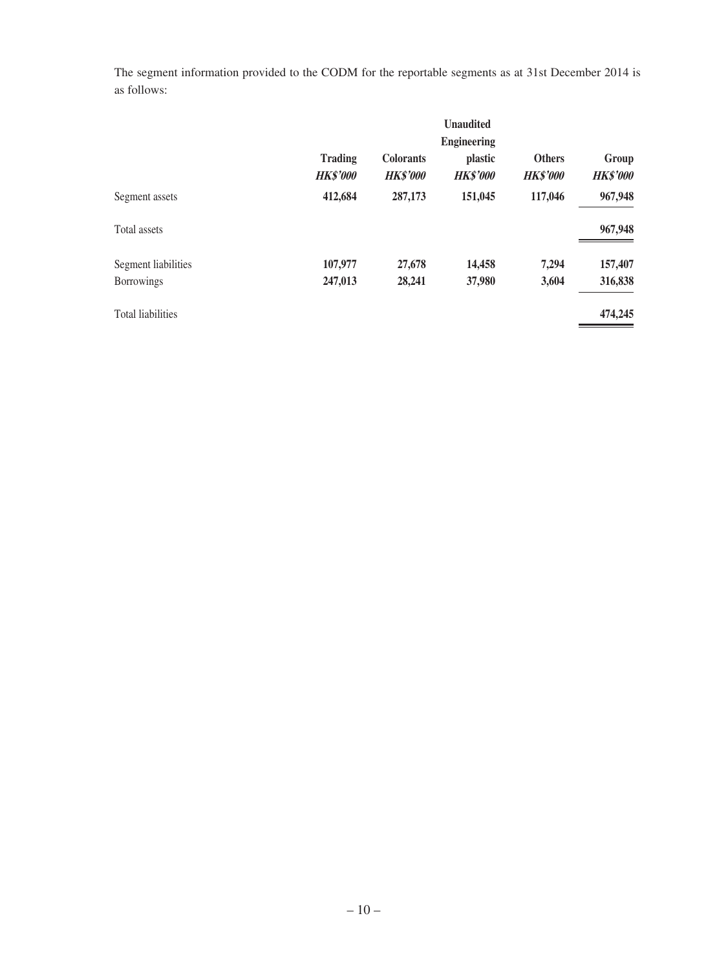The segment information provided to the CODM for the reportable segments as at 31st December 2014 is as follows:

|                          |                                   |                                     | <b>Unaudited</b>           |                                  |                          |  |
|--------------------------|-----------------------------------|-------------------------------------|----------------------------|----------------------------------|--------------------------|--|
|                          | <b>Engineering</b>                |                                     |                            |                                  |                          |  |
|                          | <b>Trading</b><br><b>HK\$'000</b> | <b>Colorants</b><br><b>HK\$'000</b> | plastic<br><b>HK\$'000</b> | <b>Others</b><br><b>HK\$'000</b> | Group<br><b>HK\$'000</b> |  |
| Segment assets           | 412,684                           | 287,173                             | 151,045                    | 117,046                          | 967,948                  |  |
| Total assets             |                                   |                                     |                            |                                  | 967,948                  |  |
| Segment liabilities      | 107,977                           | 27,678                              | 14,458                     | 7.294                            | 157,407                  |  |
| <b>Borrowings</b>        | 247,013                           | 28,241                              | 37,980                     | 3,604                            | 316,838                  |  |
| <b>Total liabilities</b> |                                   |                                     |                            |                                  | 474,245                  |  |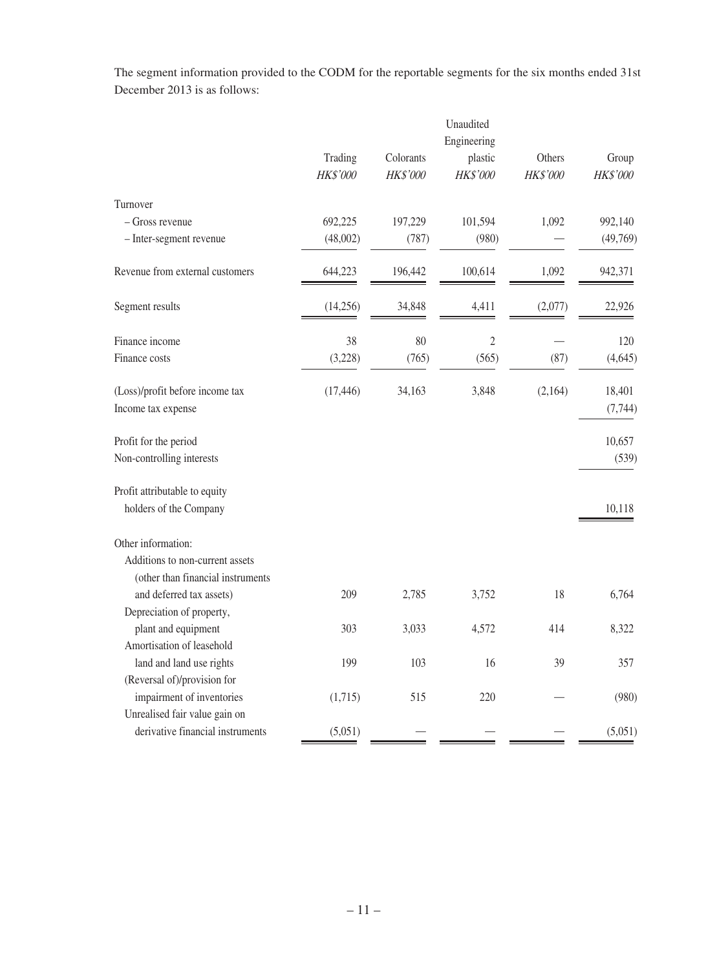The segment information provided to the CODM for the reportable segments for the six months ended 31st December 2013 is as follows:

|                                   | Unaudited<br>Engineering |                       |                     |                    |                   |
|-----------------------------------|--------------------------|-----------------------|---------------------|--------------------|-------------------|
|                                   |                          |                       |                     |                    |                   |
|                                   | Trading<br>HK\$'000      | Colorants<br>HK\$'000 | plastic<br>HK\$'000 | Others<br>HK\$'000 | Group<br>HK\$'000 |
| Turnover                          |                          |                       |                     |                    |                   |
| $-$ Gross revenue                 | 692,225                  | 197,229               | 101,594             | 1,092              | 992,140           |
| - Inter-segment revenue           | (48,002)                 | (787)                 | (980)               |                    | (49,769)          |
| Revenue from external customers   | 644,223                  | 196,442               | 100,614             | 1,092              | 942,371           |
| Segment results                   | (14,256)                 | 34,848                | 4,411               | (2,077)            | 22,926            |
| Finance income                    | 38                       | 80                    | $\sqrt{2}$          |                    | 120               |
| Finance costs                     | (3,228)                  | (765)                 | (565)               | (87)               | (4,645)           |
| (Loss)/profit before income tax   | (17, 446)                | 34,163                | 3,848               | (2,164)            | 18,401            |
| Income tax expense                |                          |                       |                     |                    | (7, 744)          |
| Profit for the period             |                          |                       |                     |                    | 10,657            |
| Non-controlling interests         |                          |                       |                     |                    | (539)             |
| Profit attributable to equity     |                          |                       |                     |                    |                   |
| holders of the Company            |                          |                       |                     |                    | 10,118            |
| Other information:                |                          |                       |                     |                    |                   |
| Additions to non-current assets   |                          |                       |                     |                    |                   |
| (other than financial instruments |                          |                       |                     |                    |                   |
| and deferred tax assets)          | 209                      | 2,785                 | 3,752               | 18                 | 6,764             |
| Depreciation of property,         |                          |                       |                     |                    |                   |
| plant and equipment               | 303                      | 3,033                 | 4,572               | 414                | 8,322             |
| Amortisation of leasehold         |                          |                       |                     |                    |                   |
| land and land use rights          | 199                      | 103                   | 16                  | 39                 | 357               |
| (Reversal of)/provision for       |                          |                       |                     |                    |                   |
| impairment of inventories         | (1,715)                  | 515                   | 220                 |                    | (980)             |
| Unrealised fair value gain on     |                          |                       |                     |                    |                   |
| derivative financial instruments  | (5,051)                  |                       |                     |                    | (5,051)           |
|                                   |                          |                       |                     |                    |                   |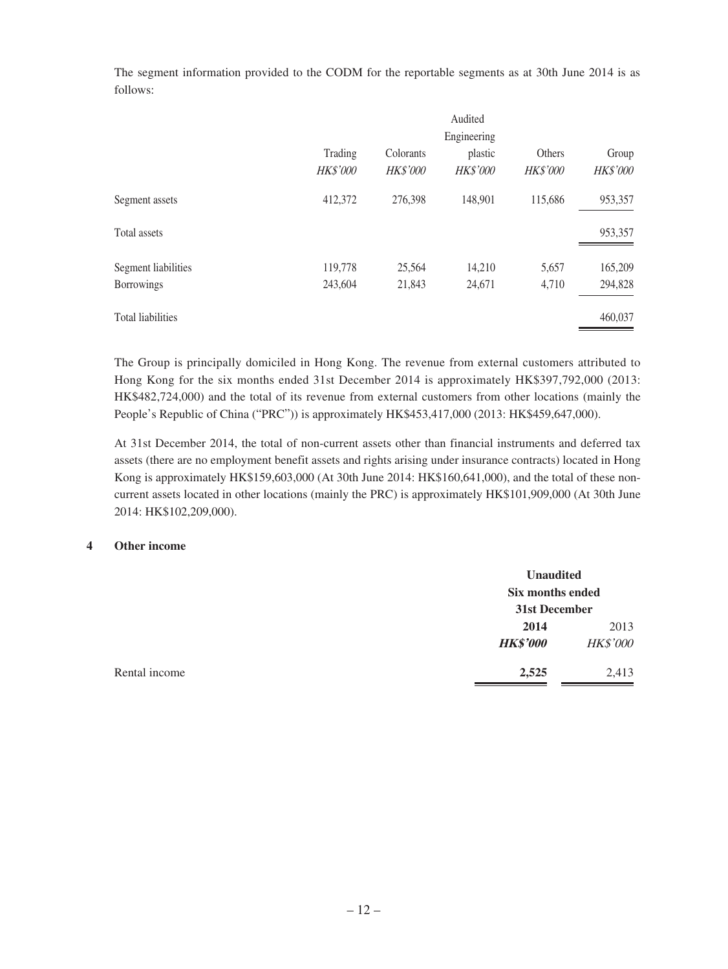The segment information provided to the CODM for the reportable segments as at 30th June 2014 is as follows:

|                          |                     |                       | Audited                    |                    |                   |
|--------------------------|---------------------|-----------------------|----------------------------|--------------------|-------------------|
|                          | Engineering         |                       |                            |                    |                   |
|                          | Trading<br>HK\$'000 | Colorants<br>HK\$'000 | plastic<br><b>HK\$'000</b> | Others<br>HK\$'000 | Group<br>HK\$'000 |
| Segment assets           | 412,372             | 276,398               | 148,901                    | 115,686            | 953,357           |
| Total assets             |                     |                       |                            |                    | 953,357           |
| Segment liabilities      | 119,778             | 25,564                | 14,210                     | 5,657              | 165,209           |
| <b>Borrowings</b>        | 243,604             | 21,843                | 24,671                     | 4,710              | 294,828           |
| <b>Total liabilities</b> |                     |                       |                            |                    | 460,037           |

The Group is principally domiciled in Hong Kong. The revenue from external customers attributed to Hong Kong for the six months ended 31st December 2014 is approximately HK\$397,792,000 (2013: HK\$482,724,000) and the total of its revenue from external customers from other locations (mainly the People's Republic of China ("PRC")) is approximately HK\$453,417,000 (2013: HK\$459,647,000).

At 31st December 2014, the total of non-current assets other than financial instruments and deferred tax assets (there are no employment benefit assets and rights arising under insurance contracts) located in Hong Kong is approximately HK\$159,603,000 (At 30th June 2014: HK\$160,641,000), and the total of these noncurrent assets located in other locations (mainly the PRC) is approximately HK\$101,909,000 (At 30th June 2014: HK\$102,209,000).

#### **4 Other income**

|               | <b>Unaudited</b><br>Six months ended |                 |
|---------------|--------------------------------------|-----------------|
|               | 31st December                        |                 |
|               | 2014                                 | 2013            |
|               | <b>HK\$'000</b>                      | <b>HK\$'000</b> |
| Rental income | 2,525                                | 2,413           |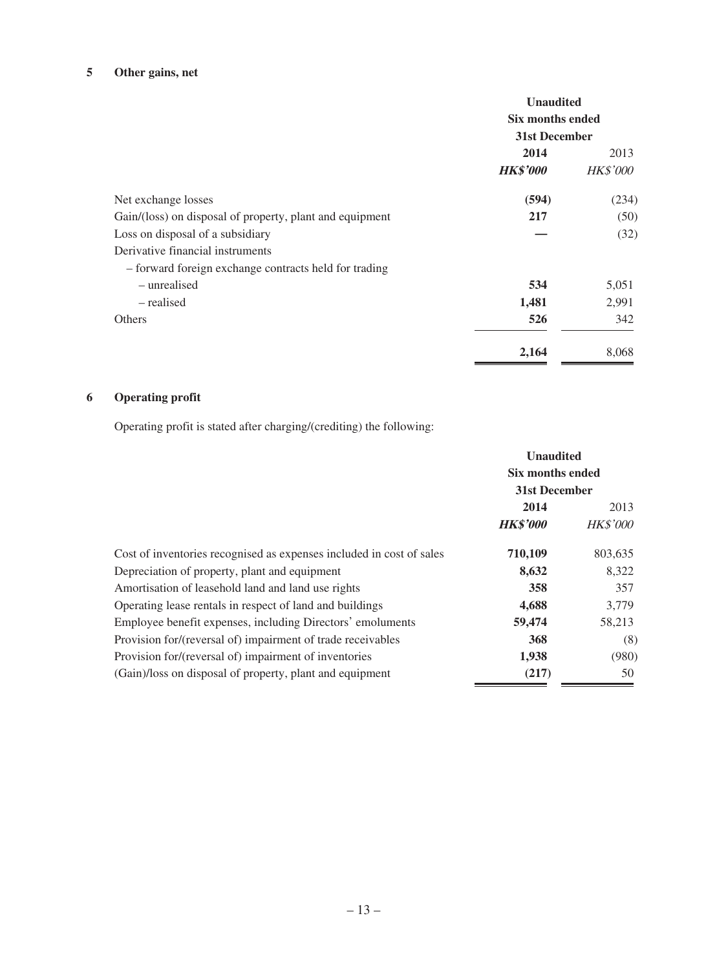# **5 Other gains, net**

|                                                          | <b>Unaudited</b><br>Six months ended<br>31st December |                 |
|----------------------------------------------------------|-------------------------------------------------------|-----------------|
|                                                          | 2014                                                  | 2013            |
|                                                          | <b>HK\$'000</b>                                       | <b>HK\$'000</b> |
| Net exchange losses                                      | (594)                                                 | (234)           |
| Gain/(loss) on disposal of property, plant and equipment | 217                                                   | (50)            |
| Loss on disposal of a subsidiary                         |                                                       | (32)            |
| Derivative financial instruments                         |                                                       |                 |
| - forward foreign exchange contracts held for trading    |                                                       |                 |
| – unrealised                                             | 534                                                   | 5,051           |
| – realised                                               | 1,481                                                 | 2,991           |
| <b>Others</b>                                            | 526                                                   | 342             |
|                                                          | 2,164                                                 | 8,068           |

# **6 Operating profit**

Operating profit is stated after charging/(crediting) the following:

|                                                                      | <b>Unaudited</b><br>Six months ended<br>31st December |                 |
|----------------------------------------------------------------------|-------------------------------------------------------|-----------------|
|                                                                      |                                                       |                 |
|                                                                      |                                                       |                 |
|                                                                      | 2014                                                  | 2013            |
|                                                                      | <b>HK\$'000</b>                                       | <b>HK\$'000</b> |
| Cost of inventories recognised as expenses included in cost of sales | 710,109                                               | 803,635         |
| Depreciation of property, plant and equipment                        | 8,632                                                 | 8,322           |
| Amortisation of leasehold land and land use rights                   | 358                                                   | 357             |
| Operating lease rentals in respect of land and buildings             | 4,688                                                 | 3,779           |
| Employee benefit expenses, including Directors' emoluments           | 59,474                                                | 58,213          |
| Provision for/(reversal of) impairment of trade receivables          | 368                                                   | (8)             |
| Provision for/(reversal of) impairment of inventories                | 1,938                                                 | (980)           |
| (Gain)/loss on disposal of property, plant and equipment             | (217)                                                 | 50              |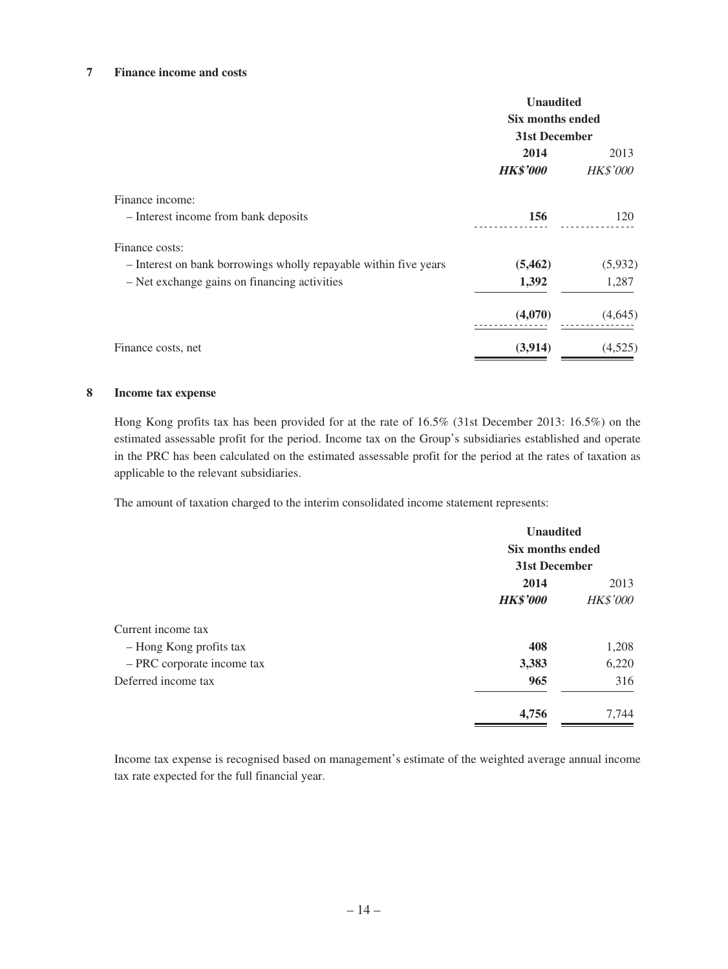#### **7 Finance income and costs**

|                                                                  | <b>Unaudited</b><br>Six months ended<br>31st December |                 |
|------------------------------------------------------------------|-------------------------------------------------------|-----------------|
|                                                                  |                                                       |                 |
|                                                                  |                                                       |                 |
|                                                                  | 2014                                                  | 2013            |
|                                                                  | <b>HK\$'000</b>                                       | <b>HK\$'000</b> |
| Finance income:                                                  |                                                       |                 |
| - Interest income from bank deposits                             | 156                                                   | 120             |
| Finance costs:                                                   |                                                       |                 |
| - Interest on bank borrowings wholly repayable within five years | (5, 462)                                              | (5,932)         |
| - Net exchange gains on financing activities                     | 1,392                                                 | 1,287           |
|                                                                  | (4,070)                                               | (4,645)         |
| Finance costs, net                                               | (3,914)                                               | (4,525)         |

#### **8 Income tax expense**

Hong Kong profits tax has been provided for at the rate of 16.5% (31st December 2013: 16.5%) on the estimated assessable profit for the period. Income tax on the Group's subsidiaries established and operate in the PRC has been calculated on the estimated assessable profit for the period at the rates of taxation as applicable to the relevant subsidiaries.

The amount of taxation charged to the interim consolidated income statement represents:

|                            | <b>Unaudited</b><br><b>Six months ended</b><br>31st December |                 |
|----------------------------|--------------------------------------------------------------|-----------------|
|                            |                                                              |                 |
|                            |                                                              |                 |
|                            | 2014<br>2013                                                 |                 |
|                            | <b>HK\$'000</b>                                              | <b>HK\$'000</b> |
| Current income tax         |                                                              |                 |
| - Hong Kong profits tax    | 408                                                          | 1,208           |
| - PRC corporate income tax | 3,383                                                        | 6,220           |
| Deferred income tax        | 965                                                          | 316             |
|                            | 4,756                                                        | 7,744           |

Income tax expense is recognised based on management's estimate of the weighted average annual income tax rate expected for the full financial year.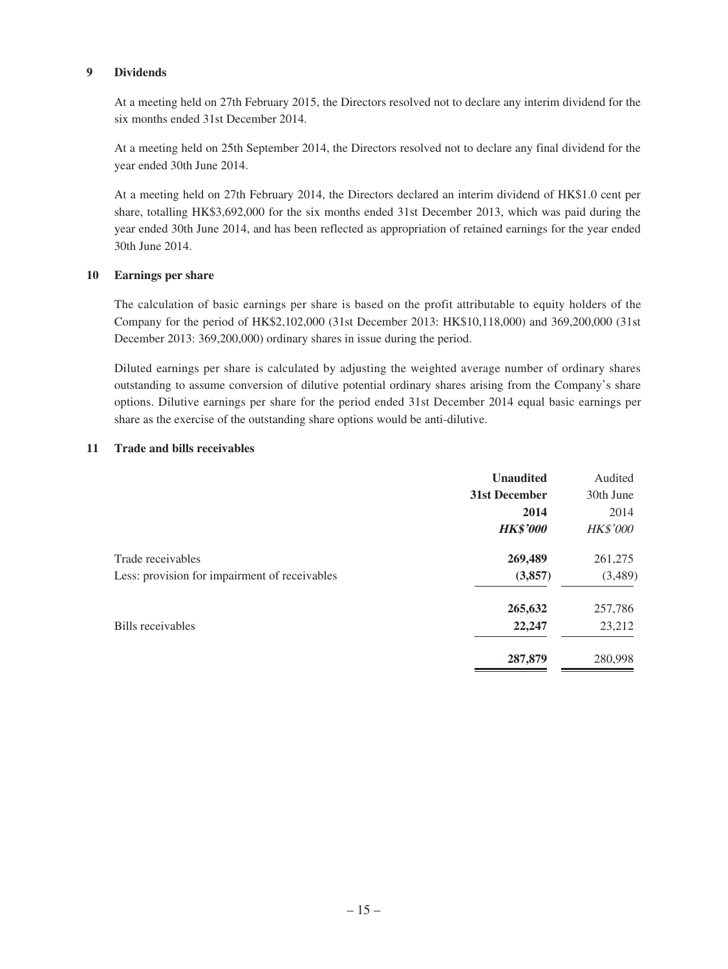#### **9 Dividends**

At a meeting held on 27th February 2015, the Directors resolved not to declare any interim dividend for the six months ended 31st December 2014.

At a meeting held on 25th September 2014, the Directors resolved not to declare any final dividend for the year ended 30th June 2014.

At a meeting held on 27th February 2014, the Directors declared an interim dividend of HK\$1.0 cent per share, totalling HK\$3,692,000 for the six months ended 31st December 2013, which was paid during the year ended 30th June 2014, and has been reflected as appropriation of retained earnings for the year ended 30th June 2014.

#### **10 Earnings per share**

The calculation of basic earnings per share is based on the profit attributable to equity holders of the Company for the period of HK\$2,102,000 (31st December 2013: HK\$10,118,000) and 369,200,000 (31st December 2013: 369,200,000) ordinary shares in issue during the period.

Diluted earnings per share is calculated by adjusting the weighted average number of ordinary shares outstanding to assume conversion of dilutive potential ordinary shares arising from the Company's share options. Dilutive earnings per share for the period ended 31st December 2014 equal basic earnings per share as the exercise of the outstanding share options would be anti-dilutive.

#### **11 Trade and bills receivables**

| <b>Unaudited</b> | Audited         |
|------------------|-----------------|
| 31st December    | 30th June       |
| 2014             | 2014            |
| <b>HK\$'000</b>  | <b>HK\$'000</b> |
| 269,489          | 261,275         |
| (3,857)          | (3,489)         |
| 265,632          | 257,786         |
| 22,247           | 23,212          |
| 287,879          | 280,998         |
|                  |                 |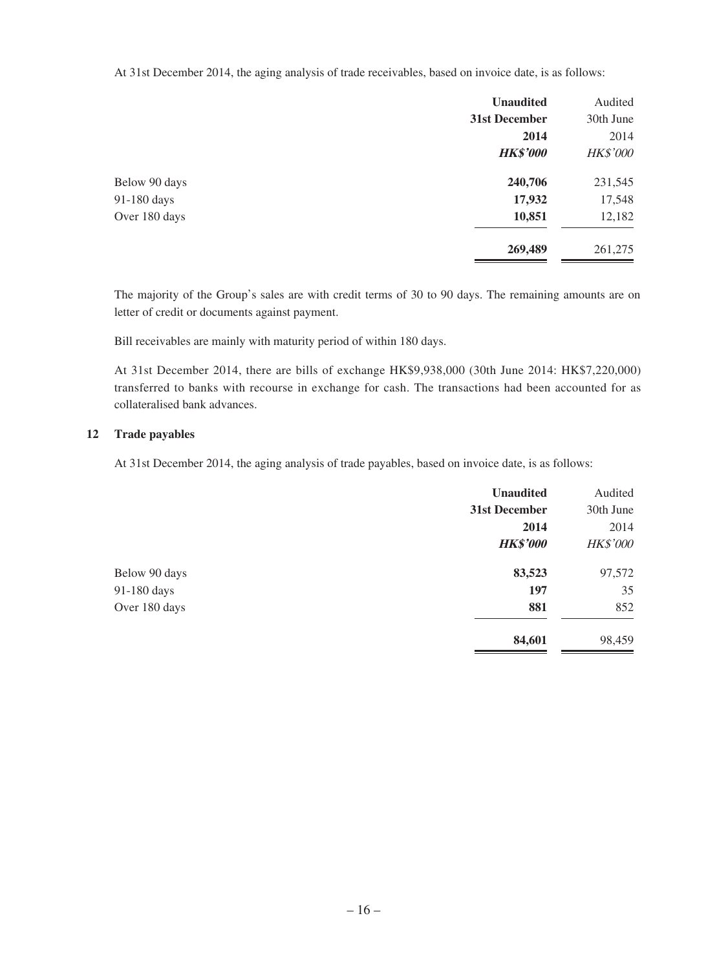At 31st December 2014, the aging analysis of trade receivables, based on invoice date, is as follows:

|               | <b>Unaudited</b> | Audited         |
|---------------|------------------|-----------------|
|               | 31st December    | 30th June       |
|               | 2014             | 2014            |
|               | <b>HK\$'000</b>  | <b>HK\$'000</b> |
| Below 90 days | 240,706          | 231,545         |
| 91-180 days   | 17,932           | 17,548          |
| Over 180 days | 10,851           | 12,182          |
|               | 269,489          | 261,275         |

The majority of the Group's sales are with credit terms of 30 to 90 days. The remaining amounts are on letter of credit or documents against payment.

Bill receivables are mainly with maturity period of within 180 days.

At 31st December 2014, there are bills of exchange HK\$9,938,000 (30th June 2014: HK\$7,220,000) transferred to banks with recourse in exchange for cash. The transactions had been accounted for as collateralised bank advances.

#### **12 Trade payables**

At 31st December 2014, the aging analysis of trade payables, based on invoice date, is as follows:

|               | <b>Unaudited</b> | Audited         |
|---------------|------------------|-----------------|
|               | 31st December    | 30th June       |
|               | 2014             | 2014            |
|               | <b>HK\$'000</b>  | <b>HK\$'000</b> |
| Below 90 days | 83,523           | 97,572          |
| 91-180 days   | 197              | 35              |
| Over 180 days | 881              | 852             |
|               | 84,601           | 98,459          |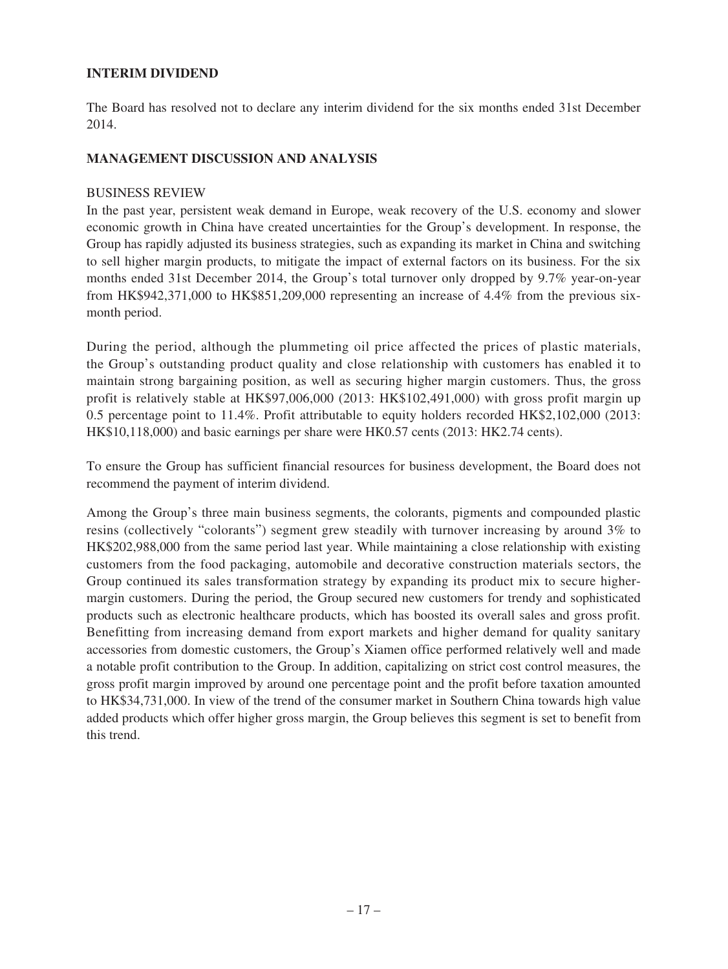### **INTERIM DIVIDEND**

The Board has resolved not to declare any interim dividend for the six months ended 31st December 2014.

### **MANAGEMENT DISCUSSION AND ANALYSIS**

### BUSINESS REVIEW

In the past year, persistent weak demand in Europe, weak recovery of the U.S. economy and slower economic growth in China have created uncertainties for the Group's development. In response, the Group has rapidly adjusted its business strategies, such as expanding its market in China and switching to sell higher margin products, to mitigate the impact of external factors on its business. For the six months ended 31st December 2014, the Group's total turnover only dropped by 9.7% year-on-year from HK\$942,371,000 to HK\$851,209,000 representing an increase of 4.4% from the previous sixmonth period.

During the period, although the plummeting oil price affected the prices of plastic materials, the Group's outstanding product quality and close relationship with customers has enabled it to maintain strong bargaining position, as well as securing higher margin customers. Thus, the gross profit is relatively stable at HK\$97,006,000 (2013: HK\$102,491,000) with gross profit margin up 0.5 percentage point to 11.4%. Profit attributable to equity holders recorded HK\$2,102,000 (2013: HK\$10,118,000) and basic earnings per share were HK0.57 cents (2013: HK2.74 cents).

To ensure the Group has sufficient financial resources for business development, the Board does not recommend the payment of interim dividend.

Among the Group's three main business segments, the colorants, pigments and compounded plastic resins (collectively "colorants") segment grew steadily with turnover increasing by around 3% to HK\$202,988,000 from the same period last year. While maintaining a close relationship with existing customers from the food packaging, automobile and decorative construction materials sectors, the Group continued its sales transformation strategy by expanding its product mix to secure highermargin customers. During the period, the Group secured new customers for trendy and sophisticated products such as electronic healthcare products, which has boosted its overall sales and gross profit. Benefitting from increasing demand from export markets and higher demand for quality sanitary accessories from domestic customers, the Group's Xiamen office performed relatively well and made a notable profit contribution to the Group. In addition, capitalizing on strict cost control measures, the gross profit margin improved by around one percentage point and the profit before taxation amounted to HK\$34,731,000. In view of the trend of the consumer market in Southern China towards high value added products which offer higher gross margin, the Group believes this segment is set to benefit from this trend.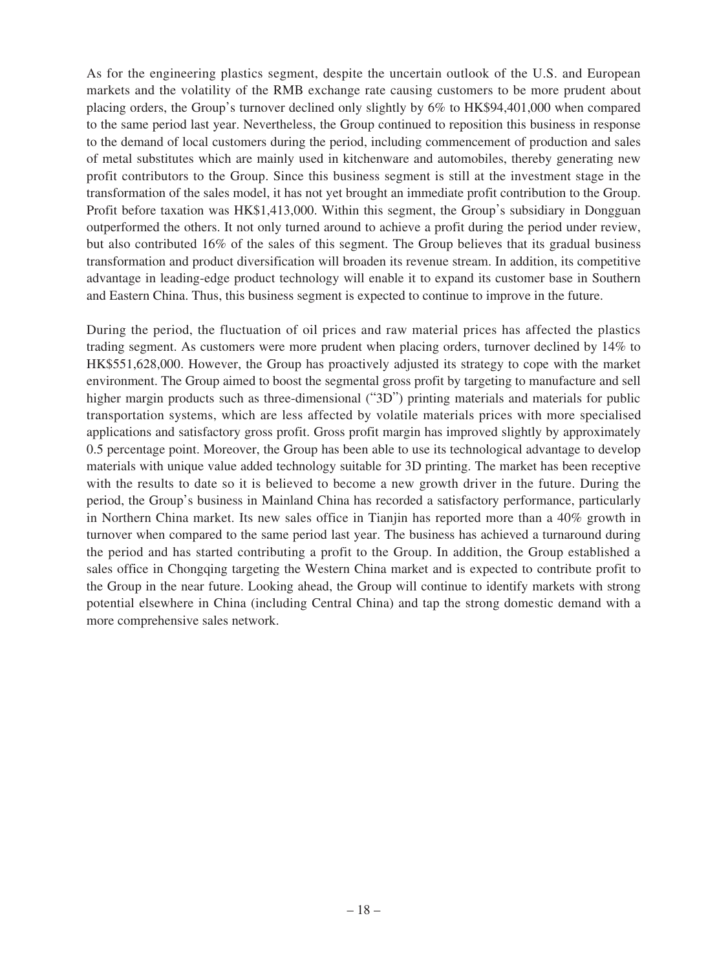As for the engineering plastics segment, despite the uncertain outlook of the U.S. and European markets and the volatility of the RMB exchange rate causing customers to be more prudent about placing orders, the Group's turnover declined only slightly by 6% to HK\$94,401,000 when compared to the same period last year. Nevertheless, the Group continued to reposition this business in response to the demand of local customers during the period, including commencement of production and sales of metal substitutes which are mainly used in kitchenware and automobiles, thereby generating new profit contributors to the Group. Since this business segment is still at the investment stage in the transformation of the sales model, it has not yet brought an immediate profit contribution to the Group. Profit before taxation was HK\$1,413,000. Within this segment, the Group's subsidiary in Dongguan outperformed the others. It not only turned around to achieve a profit during the period under review, but also contributed 16% of the sales of this segment. The Group believes that its gradual business transformation and product diversification will broaden its revenue stream. In addition, its competitive advantage in leading-edge product technology will enable it to expand its customer base in Southern and Eastern China. Thus, this business segment is expected to continue to improve in the future.

During the period, the fluctuation of oil prices and raw material prices has affected the plastics trading segment. As customers were more prudent when placing orders, turnover declined by 14% to HK\$551,628,000. However, the Group has proactively adjusted its strategy to cope with the market environment. The Group aimed to boost the segmental gross profit by targeting to manufacture and sell higher margin products such as three-dimensional ("3D") printing materials and materials for public transportation systems, which are less affected by volatile materials prices with more specialised applications and satisfactory gross profit. Gross profit margin has improved slightly by approximately 0.5 percentage point. Moreover, the Group has been able to use its technological advantage to develop materials with unique value added technology suitable for 3D printing. The market has been receptive with the results to date so it is believed to become a new growth driver in the future. During the period, the Group's business in Mainland China has recorded a satisfactory performance, particularly in Northern China market. Its new sales office in Tianjin has reported more than a 40% growth in turnover when compared to the same period last year. The business has achieved a turnaround during the period and has started contributing a profit to the Group. In addition, the Group established a sales office in Chongqing targeting the Western China market and is expected to contribute profit to the Group in the near future. Looking ahead, the Group will continue to identify markets with strong potential elsewhere in China (including Central China) and tap the strong domestic demand with a more comprehensive sales network.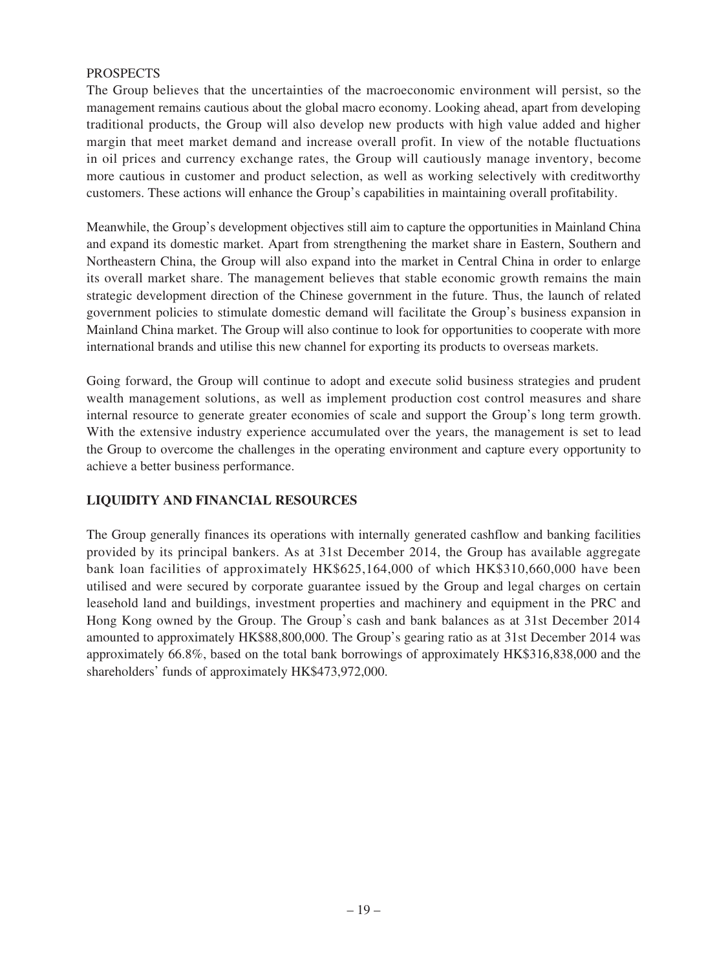### **PROSPECTS**

The Group believes that the uncertainties of the macroeconomic environment will persist, so the management remains cautious about the global macro economy. Looking ahead, apart from developing traditional products, the Group will also develop new products with high value added and higher margin that meet market demand and increase overall profit. In view of the notable fluctuations in oil prices and currency exchange rates, the Group will cautiously manage inventory, become more cautious in customer and product selection, as well as working selectively with creditworthy customers. These actions will enhance the Group's capabilities in maintaining overall profitability.

Meanwhile, the Group's development objectives still aim to capture the opportunities in Mainland China and expand its domestic market. Apart from strengthening the market share in Eastern, Southern and Northeastern China, the Group will also expand into the market in Central China in order to enlarge its overall market share. The management believes that stable economic growth remains the main strategic development direction of the Chinese government in the future. Thus, the launch of related government policies to stimulate domestic demand will facilitate the Group's business expansion in Mainland China market. The Group will also continue to look for opportunities to cooperate with more international brands and utilise this new channel for exporting its products to overseas markets.

Going forward, the Group will continue to adopt and execute solid business strategies and prudent wealth management solutions, as well as implement production cost control measures and share internal resource to generate greater economies of scale and support the Group's long term growth. With the extensive industry experience accumulated over the years, the management is set to lead the Group to overcome the challenges in the operating environment and capture every opportunity to achieve a better business performance.

### **LIQUIDITY AND FINANCIAL RESOURCES**

The Group generally finances its operations with internally generated cashflow and banking facilities provided by its principal bankers. As at 31st December 2014, the Group has available aggregate bank loan facilities of approximately HK\$625,164,000 of which HK\$310,660,000 have been utilised and were secured by corporate guarantee issued by the Group and legal charges on certain leasehold land and buildings, investment properties and machinery and equipment in the PRC and Hong Kong owned by the Group. The Group's cash and bank balances as at 31st December 2014 amounted to approximately HK\$88,800,000. The Group's gearing ratio as at 31st December 2014 was approximately 66.8%, based on the total bank borrowings of approximately HK\$316,838,000 and the shareholders' funds of approximately HK\$473,972,000.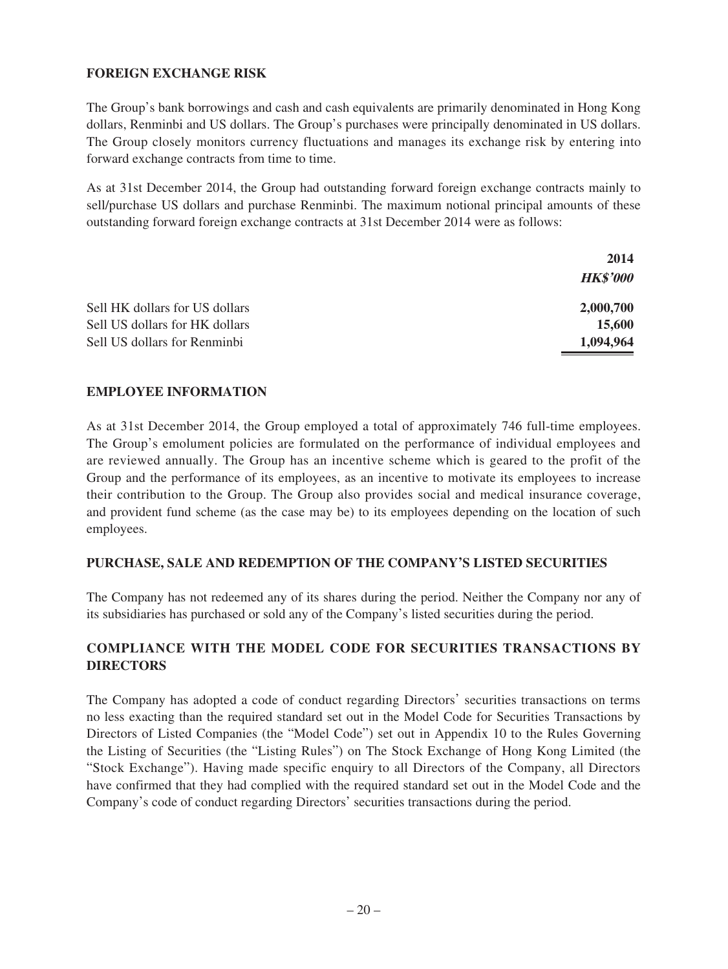## **FOREIGN EXCHANGE RISK**

The Group's bank borrowings and cash and cash equivalents are primarily denominated in Hong Kong dollars, Renminbi and US dollars. The Group's purchases were principally denominated in US dollars. The Group closely monitors currency fluctuations and manages its exchange risk by entering into forward exchange contracts from time to time.

As at 31st December 2014, the Group had outstanding forward foreign exchange contracts mainly to sell/purchase US dollars and purchase Renminbi. The maximum notional principal amounts of these outstanding forward foreign exchange contracts at 31st December 2014 were as follows:

|                                | 2014            |
|--------------------------------|-----------------|
|                                | <b>HK\$'000</b> |
| Sell HK dollars for US dollars | 2,000,700       |
| Sell US dollars for HK dollars | 15,600          |
| Sell US dollars for Renminbi   | 1,094,964       |

### **EMPLOYEE INFORMATION**

As at 31st December 2014, the Group employed a total of approximately 746 full-time employees. The Group's emolument policies are formulated on the performance of individual employees and are reviewed annually. The Group has an incentive scheme which is geared to the profit of the Group and the performance of its employees, as an incentive to motivate its employees to increase their contribution to the Group. The Group also provides social and medical insurance coverage, and provident fund scheme (as the case may be) to its employees depending on the location of such employees.

### **PURCHASE, SALE AND REDEMPTION OF THE COMPANY'S LISTED SECURITIES**

The Company has not redeemed any of its shares during the period. Neither the Company nor any of its subsidiaries has purchased or sold any of the Company's listed securities during the period.

## **COMPLIANCE WITH THE MODEL CODE FOR SECURITIES TRANSACTIONS BY DIRECTORS**

The Company has adopted a code of conduct regarding Directors' securities transactions on terms no less exacting than the required standard set out in the Model Code for Securities Transactions by Directors of Listed Companies (the "Model Code") set out in Appendix 10 to the Rules Governing the Listing of Securities (the "Listing Rules") on The Stock Exchange of Hong Kong Limited (the "Stock Exchange"). Having made specific enquiry to all Directors of the Company, all Directors have confirmed that they had complied with the required standard set out in the Model Code and the Company's code of conduct regarding Directors' securities transactions during the period.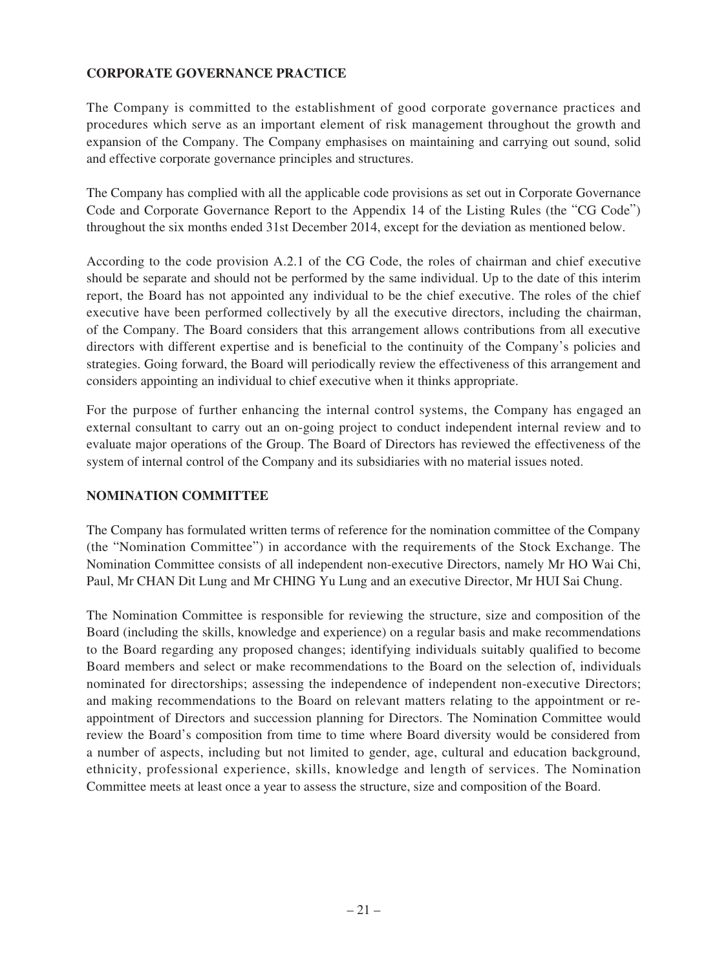## **CORPORATE GOVERNANCE PRACTICE**

The Company is committed to the establishment of good corporate governance practices and procedures which serve as an important element of risk management throughout the growth and expansion of the Company. The Company emphasises on maintaining and carrying out sound, solid and effective corporate governance principles and structures.

The Company has complied with all the applicable code provisions as set out in Corporate Governance Code and Corporate Governance Report to the Appendix 14 of the Listing Rules (the "CG Code") throughout the six months ended 31st December 2014, except for the deviation as mentioned below.

According to the code provision A.2.1 of the CG Code, the roles of chairman and chief executive should be separate and should not be performed by the same individual. Up to the date of this interim report, the Board has not appointed any individual to be the chief executive. The roles of the chief executive have been performed collectively by all the executive directors, including the chairman, of the Company. The Board considers that this arrangement allows contributions from all executive directors with different expertise and is beneficial to the continuity of the Company's policies and strategies. Going forward, the Board will periodically review the effectiveness of this arrangement and considers appointing an individual to chief executive when it thinks appropriate.

For the purpose of further enhancing the internal control systems, the Company has engaged an external consultant to carry out an on-going project to conduct independent internal review and to evaluate major operations of the Group. The Board of Directors has reviewed the effectiveness of the system of internal control of the Company and its subsidiaries with no material issues noted.

### **NOMINATION COMMITTEE**

The Company has formulated written terms of reference for the nomination committee of the Company (the "Nomination Committee") in accordance with the requirements of the Stock Exchange. The Nomination Committee consists of all independent non-executive Directors, namely Mr HO Wai Chi, Paul, Mr CHAN Dit Lung and Mr CHING Yu Lung and an executive Director, Mr HUI Sai Chung.

The Nomination Committee is responsible for reviewing the structure, size and composition of the Board (including the skills, knowledge and experience) on a regular basis and make recommendations to the Board regarding any proposed changes; identifying individuals suitably qualified to become Board members and select or make recommendations to the Board on the selection of, individuals nominated for directorships; assessing the independence of independent non-executive Directors; and making recommendations to the Board on relevant matters relating to the appointment or reappointment of Directors and succession planning for Directors. The Nomination Committee would review the Board's composition from time to time where Board diversity would be considered from a number of aspects, including but not limited to gender, age, cultural and education background, ethnicity, professional experience, skills, knowledge and length of services. The Nomination Committee meets at least once a year to assess the structure, size and composition of the Board.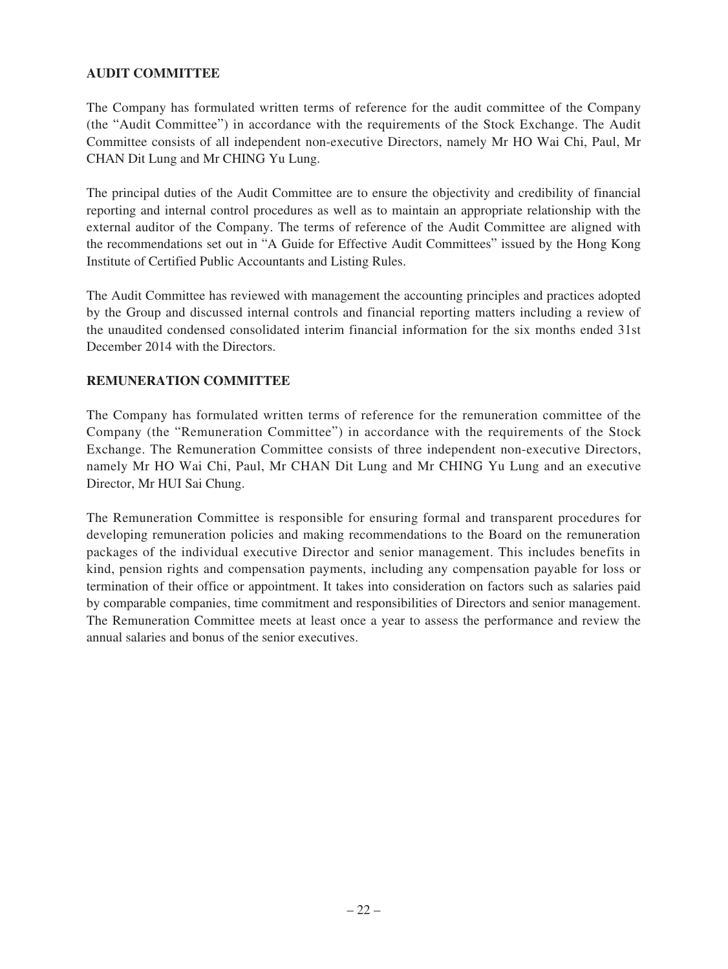## **AUDIT COMMITTEE**

The Company has formulated written terms of reference for the audit committee of the Company (the "Audit Committee") in accordance with the requirements of the Stock Exchange. The Audit Committee consists of all independent non-executive Directors, namely Mr HO Wai Chi, Paul, Mr CHAN Dit Lung and Mr CHING Yu Lung.

The principal duties of the Audit Committee are to ensure the objectivity and credibility of financial reporting and internal control procedures as well as to maintain an appropriate relationship with the external auditor of the Company. The terms of reference of the Audit Committee are aligned with the recommendations set out in "A Guide for Effective Audit Committees" issued by the Hong Kong Institute of Certified Public Accountants and Listing Rules.

The Audit Committee has reviewed with management the accounting principles and practices adopted by the Group and discussed internal controls and financial reporting matters including a review of the unaudited condensed consolidated interim financial information for the six months ended 31st December 2014 with the Directors.

### **REMUNERATION COMMITTEE**

The Company has formulated written terms of reference for the remuneration committee of the Company (the "Remuneration Committee") in accordance with the requirements of the Stock Exchange. The Remuneration Committee consists of three independent non-executive Directors, namely Mr HO Wai Chi, Paul, Mr CHAN Dit Lung and Mr CHING Yu Lung and an executive Director, Mr HUI Sai Chung.

The Remuneration Committee is responsible for ensuring formal and transparent procedures for developing remuneration policies and making recommendations to the Board on the remuneration packages of the individual executive Director and senior management. This includes benefits in kind, pension rights and compensation payments, including any compensation payable for loss or termination of their office or appointment. It takes into consideration on factors such as salaries paid by comparable companies, time commitment and responsibilities of Directors and senior management. The Remuneration Committee meets at least once a year to assess the performance and review the annual salaries and bonus of the senior executives.